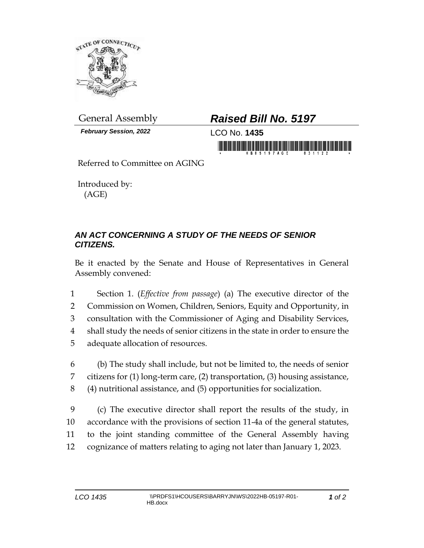

*February Session, 2022* LCO No. **1435**

## General Assembly *Raised Bill No. 5197*

in morning friends in his billion and his billion in morning

Referred to Committee on AGING

Introduced by: (AGE)

## *AN ACT CONCERNING A STUDY OF THE NEEDS OF SENIOR CITIZENS.*

Be it enacted by the Senate and House of Representatives in General Assembly convened:

 Section 1. (*Effective from passage*) (a) The executive director of the Commission on Women, Children, Seniors, Equity and Opportunity, in consultation with the Commissioner of Aging and Disability Services, shall study the needs of senior citizens in the state in order to ensure the adequate allocation of resources.

6 (b) The study shall include, but not be limited to, the needs of senior 7 citizens for (1) long-term care, (2) transportation, (3) housing assistance, 8 (4) nutritional assistance, and (5) opportunities for socialization.

 (c) The executive director shall report the results of the study, in accordance with the provisions of section 11-4a of the general statutes, to the joint standing committee of the General Assembly having cognizance of matters relating to aging not later than January 1, 2023.